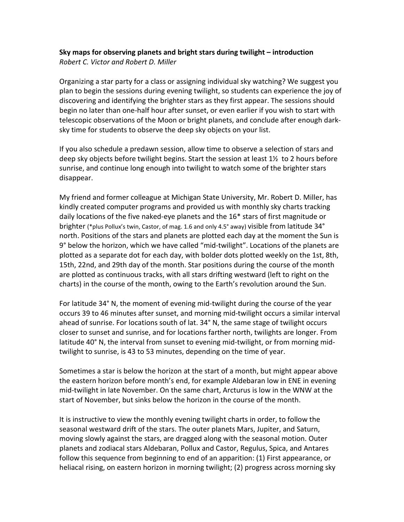## **Sky maps for observing planets and bright stars during twilight – introduction** *Robert C. Victor and Robert D. Miller*

Organizing a star party for a class or assigning individual sky watching? We suggest you plan to begin the sessions during evening twilight, so students can experience the joy of discovering and identifying the brighter stars as they first appear. The sessions should begin no later than one-half hour after sunset, or even earlier if you wish to start with telescopic observations of the Moon or bright planets, and conclude after enough darksky time for students to observe the deep sky objects on your list.

If you also schedule a predawn session, allow time to observe a selection of stars and deep sky objects before twilight begins. Start the session at least 1½ to 2 hours before sunrise, and continue long enough into twilight to watch some of the brighter stars disappear.

My friend and former colleague at Michigan State University, Mr. Robert D. Miller, has kindly created computer programs and provided us with monthly sky charts tracking daily locations of the five naked-eye planets and the 16\* stars of first magnitude or brighter (\*plus Pollux's twin, Castor, of mag. 1.6 and only 4.5° away) visible from latitude 34° north. Positions of the stars and planets are plotted each day at the moment the Sun is 9° below the horizon, which we have called "mid-twilight". Locations of the planets are plotted as a separate dot for each day, with bolder dots plotted weekly on the 1st, 8th, 15th, 22nd, and 29th day of the month. Star positions during the course of the month are plotted as continuous tracks, with all stars drifting westward (left to right on the charts) in the course of the month, owing to the Earth's revolution around the Sun.

For latitude 34° N, the moment of evening mid-twilight during the course of the year occurs 39 to 46 minutes after sunset, and morning mid-twilight occurs a similar interval ahead of sunrise. For locations south of lat. 34° N, the same stage of twilight occurs closer to sunset and sunrise, and for locations farther north, twilights are longer. From latitude 40° N, the interval from sunset to evening mid-twilight, or from morning midtwilight to sunrise, is 43 to 53 minutes, depending on the time of year.

Sometimes a star is below the horizon at the start of a month, but might appear above the eastern horizon before month's end, for example Aldebaran low in ENE in evening mid-twilight in late November. On the same chart, Arcturus is low in the WNW at the start of November, but sinks below the horizon in the course of the month.

It is instructive to view the monthly evening twilight charts in order, to follow the seasonal westward drift of the stars. The outer planets Mars, Jupiter, and Saturn, moving slowly against the stars, are dragged along with the seasonal motion. Outer planets and zodiacal stars Aldebaran, Pollux and Castor, Regulus, Spica, and Antares follow this sequence from beginning to end of an apparition: (1) First appearance, or heliacal rising, on eastern horizon in morning twilight; (2) progress across morning sky